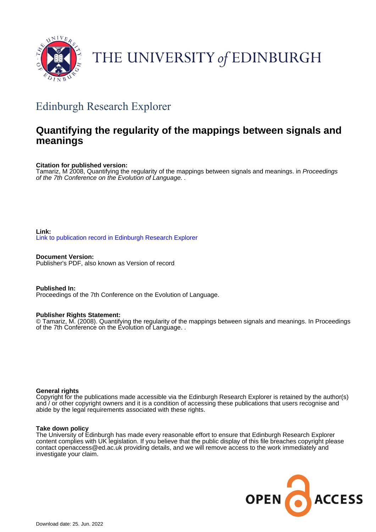

# THE UNIVERSITY of EDINBURGH

## Edinburgh Research Explorer

### **Quantifying the regularity of the mappings between signals and meanings**

#### **Citation for published version:**

Tamariz, M 2008, Quantifying the regularity of the mappings between signals and meanings. in Proceedings of the 7th Conference on the Evolution of Language. .

#### **Link:** [Link to publication record in Edinburgh Research Explorer](https://www.research.ed.ac.uk/en/publications/e668c74f-f9fa-499a-b760-a60de97aa65f)

**Document Version:** Publisher's PDF, also known as Version of record

**Published In:** Proceedings of the 7th Conference on the Evolution of Language.

#### **Publisher Rights Statement:**

© Tamariz, M. (2008). Quantifying the regularity of the mappings between signals and meanings. In Proceedings of the 7th Conference on the Evolution of Language. .

#### **General rights**

Copyright for the publications made accessible via the Edinburgh Research Explorer is retained by the author(s) and / or other copyright owners and it is a condition of accessing these publications that users recognise and abide by the legal requirements associated with these rights.

#### **Take down policy**

The University of Edinburgh has made every reasonable effort to ensure that Edinburgh Research Explorer content complies with UK legislation. If you believe that the public display of this file breaches copyright please contact openaccess@ed.ac.uk providing details, and we will remove access to the work immediately and investigate your claim.

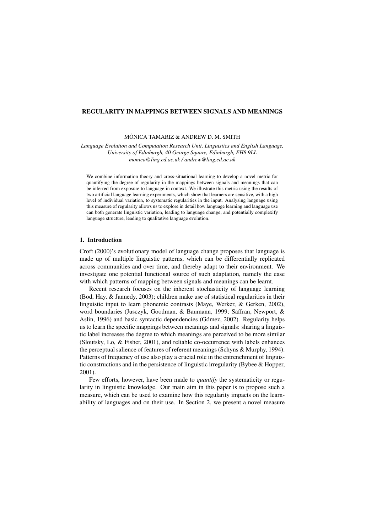#### REGULARITY IN MAPPINGS BETWEEN SIGNALS AND MEANINGS

#### MÓNICA TAMARIZ & ANDREW D. M. SMITH

*Language Evolution and Computation Research Unit, Linguistics and English Language, University of Edinburgh, 40 George Square, Edinburgh, EH8 9LL monica@ling.ed.ac.uk / andrew@ling.ed.ac.uk*

We combine information theory and cross-situational learning to develop a novel metric for quantifying the degree of regularity in the mappings between signals and meanings that can be inferred from exposure to language in context. We illustrate this metric using the results of two artificial language learning experiments, which show that learners are sensitive, with a high level of individual variation, to systematic regularities in the input. Analysing language using this measure of regularity allows us to explore in detail how language learning and language use can both generate linguistic variation, leading to language change, and potentially complexify language structure, leading to qualitative language evolution.

#### 1. Introduction

Croft (2000)'s evolutionary model of language change proposes that language is made up of multiple linguistic patterns, which can be differentially replicated across communities and over time, and thereby adapt to their environment. We investigate one potential functional source of such adaptation, namely the ease with which patterns of mapping between signals and meanings can be learnt.

Recent research focuses on the inherent stochasticity of language learning (Bod, Hay, & Jannedy, 2003); children make use of statistical regularities in their linguistic input to learn phonemic contrasts (Maye, Werker, & Gerken, 2002), word boundaries (Jusczyk, Goodman, & Baumann, 1999; Saffran, Newport, & Aslin, 1996) and basic syntactic dependencies (Gómez, 2002). Regularity helps us to learn the specific mappings between meanings and signals: sharing a linguistic label increases the degree to which meanings are perceived to be more similar (Sloutsky, Lo, & Fisher, 2001), and reliable co-occurrence with labels enhances the perceptual salience of features of referent meanings (Schyns & Murphy, 1994). Patterns of frequency of use also play a crucial role in the entrenchment of linguistic constructions and in the persistence of linguistic irregularity (Bybee & Hopper, 2001).

Few efforts, however, have been made to *quantify* the systematicity or regularity in linguistic knowledge. Our main aim in this paper is to propose such a measure, which can be used to examine how this regularity impacts on the learnability of languages and on their use. In Section 2, we present a novel measure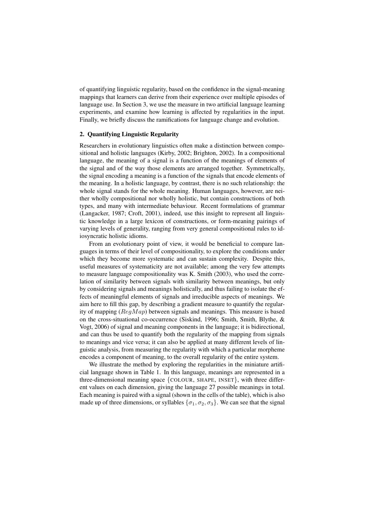of quantifying linguistic regularity, based on the confidence in the signal-meaning mappings that learners can derive from their experience over multiple episodes of language use. In Section 3, we use the measure in two artificial language learning experiments, and examine how learning is affected by regularities in the input. Finally, we briefly discuss the ramifications for language change and evolution.

#### 2. Quantifying Linguistic Regularity

Researchers in evolutionary linguistics often make a distinction between compositional and holistic languages (Kirby, 2002; Brighton, 2002). In a compositional language, the meaning of a signal is a function of the meanings of elements of the signal and of the way those elements are arranged together. Symmetrically, the signal encoding a meaning is a function of the signals that encode elements of the meaning. In a holistic language, by contrast, there is no such relationship: the whole signal stands for the whole meaning. Human languages, however, are neither wholly compositional nor wholly holistic, but contain constructions of both types, and many with intermediate behaviour. Recent formulations of grammar (Langacker, 1987; Croft, 2001), indeed, use this insight to represent all linguistic knowledge in a large lexicon of constructions, or form-meaning pairings of varying levels of generality, ranging from very general compositional rules to idiosyncratic holistic idioms.

From an evolutionary point of view, it would be beneficial to compare languages in terms of their level of compositionality, to explore the conditions under which they become more systematic and can sustain complexity. Despite this, useful measures of systematicity are not available; among the very few attempts to measure language compositionality was K. Smith (2003), who used the correlation of similarity between signals with similarity between meanings, but only by considering signals and meanings holistically, and thus failing to isolate the effects of meaningful elements of signals and irreducible aspects of meanings. We aim here to fill this gap, by describing a gradient measure to quantify the regularity of mapping ( $\text{Re}q\text{Map}$ ) between signals and meanings. This measure is based on the cross-situational co-occurrence (Siskind, 1996; Smith, Smith, Blythe, & Vogt, 2006) of signal and meaning components in the language; it is bidirectional, and can thus be used to quantify both the regularity of the mapping from signals to meanings and vice versa; it can also be applied at many different levels of linguistic analysis, from measuring the regularity with which a particular morpheme encodes a component of meaning, to the overall regularity of the entire system.

We illustrate the method by exploring the regularities in the miniature artificial language shown in Table 1. In this language, meanings are represented in a three-dimensional meaning space {COLOUR, SHAPE, INSET}, with three different values on each dimension, giving the language 27 possible meanings in total. Each meaning is paired with a signal (shown in the cells of the table), which is also made up of three dimensions, or syllables  $\{\sigma_1, \sigma_2, \sigma_3\}$ . We can see that the signal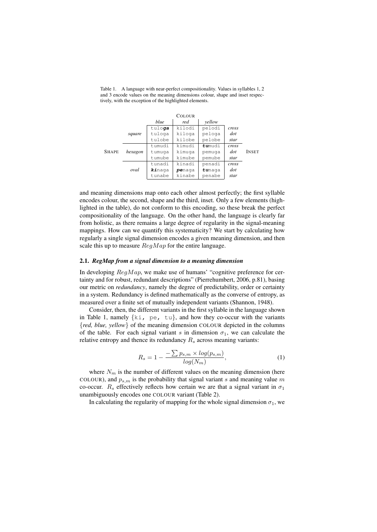|              |         |        | <b>COLOUR</b> |        |       |              |
|--------------|---------|--------|---------------|--------|-------|--------------|
|              |         | blue   | red           | yellow |       |              |
| <b>SHAPE</b> |         | tuloga | kilodi        | pelodi | cross |              |
|              | square  | tuloga | kiloga        | peloga | dot   |              |
|              |         | tulobe | kilobe        | pelobe | star  |              |
|              | hexagon | tumudi | kimudi        | tumudi | cross |              |
|              |         | tumuqa | kimuqa        | pemuga | dot   | <b>INSET</b> |
|              |         | tumube | kimube        | pemube | star  |              |
|              |         | tunadi | kinadi        | penadi | cross |              |
|              | oval    | kinaga | penaga        | tunaga | dot   |              |
|              |         | tunabe | kinabe        | penabe | star  |              |

Table 1. A language with near-perfect compositionality. Values in syllables 1, 2 and 3 encode values on the meaning dimensions colour, shape and inset respectively, with the exception of the highlighted elements.

and meaning dimensions map onto each other almost perfectly; the first syllable encodes colour, the second, shape and the third, inset. Only a few elements (highlighted in the table), do not conform to this encoding, so these break the perfect compositionality of the language. On the other hand, the language is clearly far from holistic, as there remains a large degree of regularity in the signal-meaning mappings. How can we quantify this systematicity? We start by calculating how regularly a single signal dimension encodes a given meaning dimension, and then scale this up to measure  $RegMap$  for the entire language.

#### 2.1. *RegMap from a signal dimension to a meaning dimension*

In developing  $RegMap$ , we make use of humans' "cognitive preference for certainty and for robust, redundant descriptions" (Pierrehumbert, 2006, p.81), basing our metric on *redundancy*, namely the degree of predictability, order or certainty in a system. Redundancy is defined mathematically as the converse of entropy, as measured over a finite set of mutually independent variants (Shannon, 1948).

Consider, then, the different variants in the first syllable in the language shown in Table 1, namely  $\{k_i, p e, tu\}$ , and how they co-occur with the variants {*red, blue, yellow*} of the meaning dimension COLOUR depicted in the columns of the table. For each signal variant s in dimension  $\sigma_1$ , we can calculate the relative entropy and thence its redundancy  $R_s$  across meaning variants:

$$
R_s = 1 - \frac{-\sum p_{s,m} \times \log(p_{s,m})}{\log(N_m)},\tag{1}
$$

where  $N_m$  is the number of different values on the meaning dimension (here COLOUR), and  $p_{s,m}$  is the probability that signal variant s and meaning value m co-occur.  $R_s$  effectively reflects how certain we are that a signal variant in  $\sigma_1$ unambiguously encodes one COLOUR variant (Table 2).

In calculating the regularity of mapping for the whole signal dimension  $\sigma_1$ , we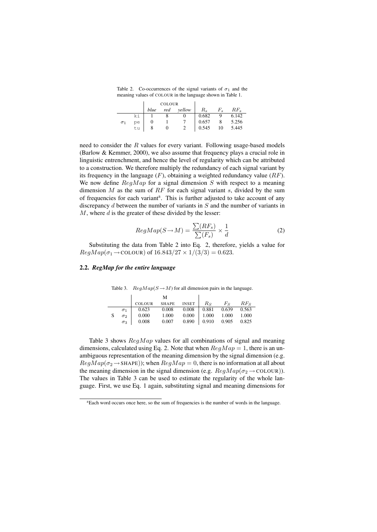Table 2. Co-occurrences of the signal variants of  $\sigma_1$  and the meaning values of COLOUR in the language shown in Table 1.

|            |    | <b>COLOUR</b> |  |            |             |    |          |
|------------|----|---------------|--|------------|-------------|----|----------|
|            |    | blue          |  | red vellow | $R_s$ $F_s$ |    | $RF_{s}$ |
|            | ki |               |  |            | 0.682       | 9  | 6.142    |
| $\sigma_1$ | pe |               |  |            | 0.657       |    | 5.256    |
|            | tu |               |  |            | 0.545       | 10 | 5.445    |

need to consider the  $R$  values for every variant. Following usage-based models (Barlow & Kemmer, 2000), we also assume that frequency plays a crucial role in linguistic entrenchment, and hence the level of regularity which can be attributed to a construction. We therefore multiply the redundancy of each signal variant by its frequency in the language  $(F)$ , obtaining a weighted redundancy value  $(RF)$ . We now define  $RegMap$  for a signal dimension S with respect to a meaning dimension  $M$  as the sum of  $RF$  for each signal variant s, divided by the sum of frequencies for each variant<sup>a</sup>. This is further adjusted to take account of any discrepancy d between the number of variants in  $S$  and the number of variants in  $M$ , where  $d$  is the greater of these divided by the lesser:

$$
RegMap(S \to M) = \frac{\sum (RF_s)}{\sum (F_s)} \times \frac{1}{d}
$$
 (2)

Substituting the data from Table 2 into Eq. 2, therefore, yields a value for  $ReqMap(\sigma_1 \to \text{COLOUR})$  of  $16.843/27 \times 1/(3/3) = 0.623$ .

#### 2.2. *RegMap for the entire language*

Table 3.  $RegMap(S \rightarrow M)$  for all dimension pairs in the language.

|   |            |        | M                             |                       |                               |       |
|---|------------|--------|-------------------------------|-----------------------|-------------------------------|-------|
|   |            | COLOUR | SHAPE INSET $R_S$ $F_S$ $R_F$ |                       |                               |       |
|   | $\sigma_1$ | 0.623  | 0.008                         | $0.008$   0.881 0.639 |                               | 0.563 |
| S | $\sigma_2$ | 0.000  | 1.000                         |                       | $0.000$   1.000 1.000 1.000   |       |
|   | $\sigma_3$ | 0.008  | 0.007                         |                       | $0.890$   $0.910$ 0.905 0.825 |       |

Table 3 shows  $RegMap$  values for all combinations of signal and meaning dimensions, calculated using Eq. 2. Note that when  $RegMap = 1$ , there is an unambiguous representation of the meaning dimension by the signal dimension (e.g.  $ReqMap(\sigma_2 \rightarrow \text{SHAPE})$ ; when  $ReqMap = 0$ , there is no information at all about the meaning dimension in the signal dimension (e.g.  $RegMap(\sigma_2 \rightarrow \text{COLOUR})$ ). The values in Table 3 can be used to estimate the regularity of the whole language. First, we use Eq. 1 again, substituting signal and meaning dimensions for

<sup>&</sup>lt;sup>a</sup>Each word occurs once here, so the sum of frequencies is the number of words in the language.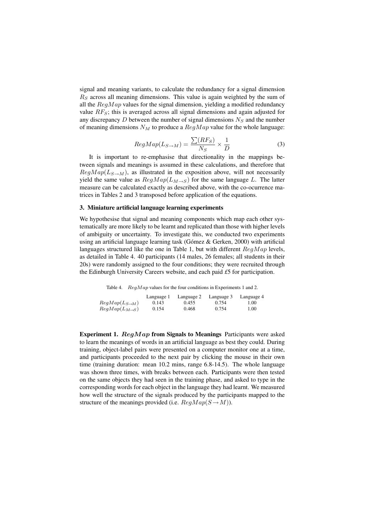signal and meaning variants, to calculate the redundancy for a signal dimension  $R<sub>S</sub>$  across all meaning dimensions. This value is again weighted by the sum of all the  $RegMap$  values for the signal dimension, yielding a modified redundancy value  $RF<sub>S</sub>$ ; this is averaged across all signal dimensions and again adjusted for any discrepancy  $D$  between the number of signal dimensions  $N_S$  and the number of meaning dimensions  $N_M$  to produce a  $RegMap$  value for the whole language:

$$
RegMap(L_{S \to M}) = \frac{\sum (RF_S)}{N_S} \times \frac{1}{D}
$$
 (3)

It is important to re-emphasise that directionality in the mappings between signals and meanings is assumed in these calculations, and therefore that  $RegMap(L_{S\rightarrow M})$ , as illustrated in the exposition above, will not necessarily yield the same value as  $RegMap(L_{M\rightarrow S})$  for the same language L. The latter measure can be calculated exactly as described above, with the co-ocurrence matrices in Tables 2 and 3 transposed before application of the equations.

#### 3. Miniature artificial language learning experiments

We hypothesise that signal and meaning components which map each other systematically are more likely to be learnt and replicated than those with higher levels of ambiguity or uncertainty. To investigate this, we conducted two experiments using an artificial language learning task (Gómez & Gerken, 2000) with artificial languages structured like the one in Table 1, but with different  $RegMap$  levels, as detailed in Table 4. 40 participants (14 males, 26 females; all students in their 20s) were randomly assigned to the four conditions; they were recruited through the Edinburgh University Careers website, and each paid *£*5 for participation.

Table 4. RegMap values for the four conditions in Experiments 1 and 2.

|                              | Language 1 | Language 2 | Language 3 | Language 4 |
|------------------------------|------------|------------|------------|------------|
| $RegMap(L_{S\rightarrow M})$ | 0.143      | 0.455      | 0.754      | 1.00       |
| $RegMap(L_{M\rightarrow S})$ | 0.154      | 0.468      | 0.754      | 1.00       |

Experiment 1.  $\text{RegMap}$  from Signals to Meanings Participants were asked to learn the meanings of words in an artificial language as best they could. During training, object-label pairs were presented on a computer monitor one at a time, and participants proceeded to the next pair by clicking the mouse in their own time (training duration: mean 10.2 mins, range 6.8-14.5). The whole language was shown three times, with breaks between each. Participants were then tested on the same objects they had seen in the training phase, and asked to type in the corresponding words for each object in the language they had learnt. We measured how well the structure of the signals produced by the participants mapped to the structure of the meanings provided (i.e.  $RegMap(S \rightarrow M)$ ).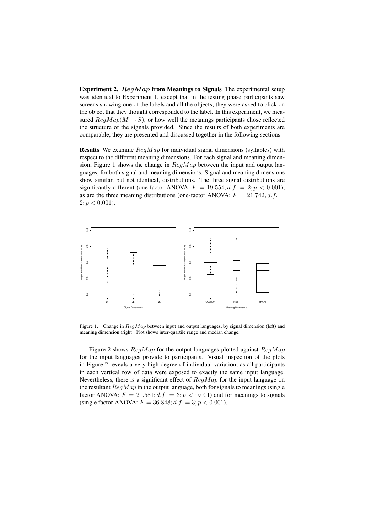Experiment 2.  $RegMap$  from Meanings to Signals The experimental setup was identical to Experiment 1, except that in the testing phase participants saw screens showing one of the labels and all the objects; they were asked to click on the object that they thought corresponded to the label. In this experiment, we measured  $RegMap(M \rightarrow S)$ , or how well the meanings participants chose reflected the structure of the signals provided. Since the results of both experiments are comparable, they are presented and discussed together in the following sections.

**Results** We examine  $\text{Re}q\text{Map}$  for individual signal dimensions (syllables) with respect to the different meaning dimensions. For each signal and meaning dimension, Figure 1 shows the change in  $RegMap$  between the input and output languages, for both signal and meaning dimensions. Signal and meaning dimensions show similar, but not identical, distributions. The three signal distributions are significantly different (one-factor ANOVA:  $F = 19.554$ , d.f. = 2;  $p < 0.001$ ), as are the three meaning distributions (one-factor ANOVA:  $F = 21.742, d.f.$  $2; p < 0.001$ ).



Figure 1. Change in  $RegMap$  between input and output languages, by signal dimension (left) and meaning dimension (right). Plot shows inter-quartile range and median change.

Figure 2 shows  $RegMap$  for the output languages plotted against  $ReqMap$ for the input languages provide to participants. Visual inspection of the plots in Figure 2 reveals a very high degree of individual variation, as all participants in each vertical row of data were exposed to exactly the same input language. Nevertheless, there is a significant effect of  $RegMap$  for the input language on the resultant  $RegMap$  in the output language, both for signals to meanings (single factor ANOVA:  $F = 21.581; d.f. = 3; p < 0.001$ ) and for meanings to signals (single factor ANOVA:  $F = 36.848$ ;  $d.f. = 3$ ;  $p < 0.001$ ).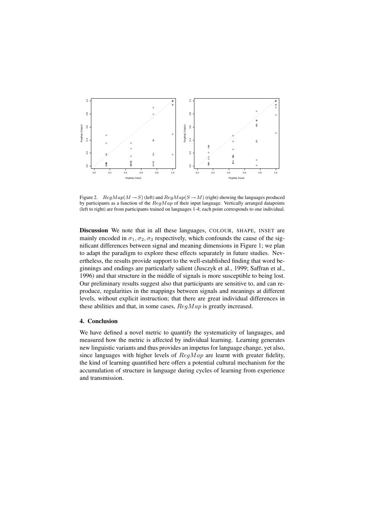

Figure 2.  $RegMap(M \rightarrow S)$  (left) and  $RegMap(S \rightarrow M)$  (right) showing the languages produced by participants as a function of the  $RegMap$  of their input language. Vertically arranged datapoints (left to right) are from participants trained on languages 1-4; each point corresponds to one individual.

Discussion We note that in all these languages, COLOUR, SHAPE, INSET are mainly encoded in  $\sigma_1$ ,  $\sigma_2$ ,  $\sigma_3$  respectively, which confounds the cause of the significant differences between signal and meaning dimensions in Figure 1; we plan to adapt the paradigm to explore these effects separately in future studies. Nevertheless, the results provide support to the well-established finding that word beginnings and endings are particularly salient (Jusczyk et al., 1999; Saffran et al., 1996) and that structure in the middle of signals is more susceptible to being lost. Our preliminary results suggest also that participants are sensitive to, and can reproduce, regularities in the mappings between signals and meanings at different levels, without explicit instruction; that there are great individual differences in these abilities and that, in some cases,  $RegMap$  is greatly increased.

#### 4. Conclusion

We have defined a novel metric to quantify the systematicity of languages, and measured how the metric is affected by individual learning. Learning generates new linguistic variants and thus provides an impetus for language change, yet also, since languages with higher levels of  $RegMap$  are learnt with greater fidelity, the kind of learning quantified here offers a potential cultural mechanism for the accumulation of structure in language during cycles of learning from experience and transmission.